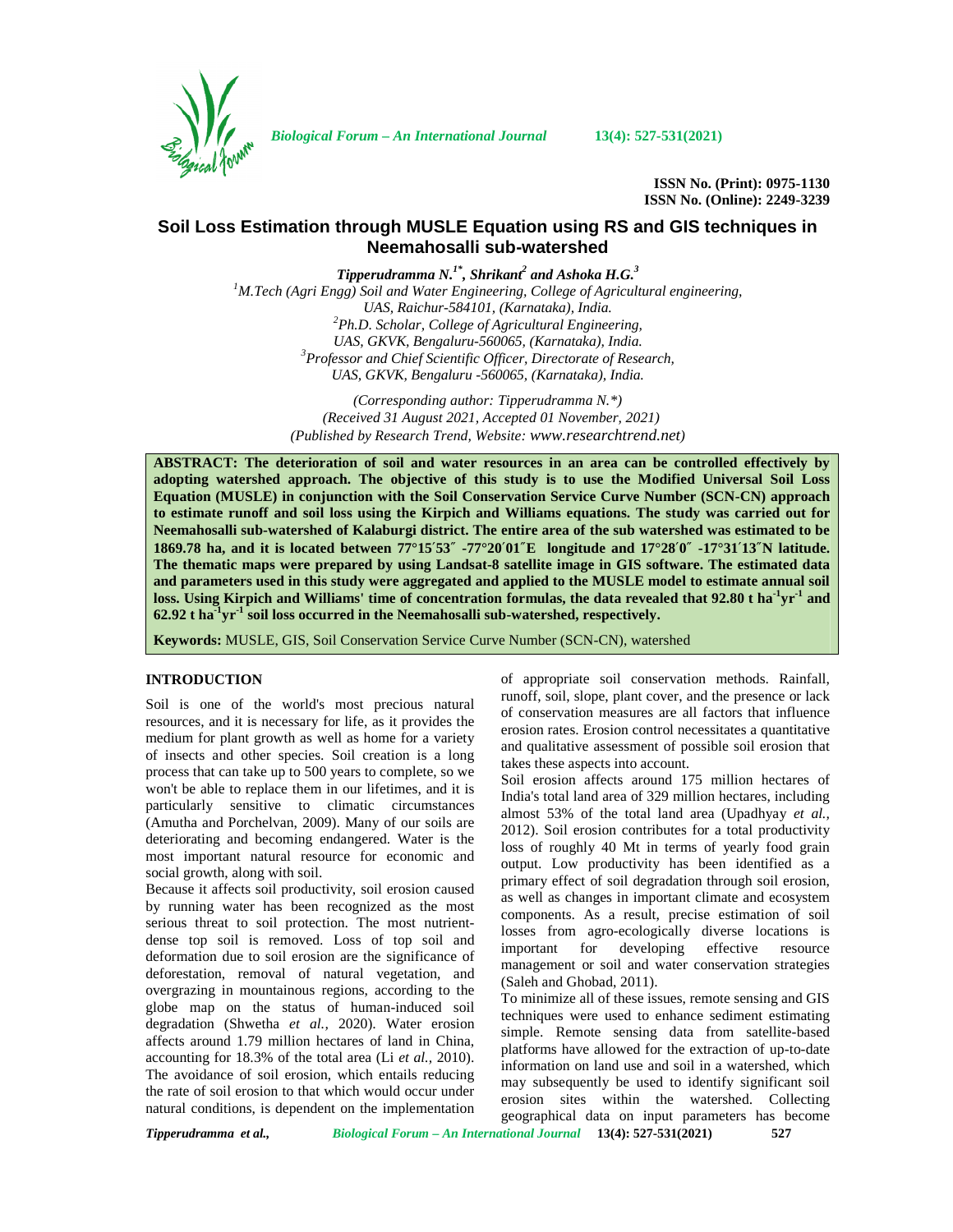

*Biological Forum – An International Journal* **13(4): 527-531(2021)**

**ISSN No. (Print): 0975-1130 ISSN No. (Online): 2249-3239**

# **Soil Loss Estimation through MUSLE Equation using RS and GIS techniques in Neemahosalli sub-watershed**

*Tipperudramma N.1\* , Shrikant<sup>2</sup> and Ashoka H.G.<sup>3</sup>*

*<sup>1</sup>M.Tech (Agri Engg) Soil and Water Engineering, College of Agricultural engineering, UAS, Raichur-584101, (Karnataka), India. <sup>2</sup>Ph.D. Scholar, College of Agricultural Engineering, UAS, GKVK, Bengaluru-560065, (Karnataka), India. <sup>3</sup>Professor and Chief Scientific Officer, Directorate of Research, UAS, GKVK, Bengaluru -560065, (Karnataka), India.*

> *(Corresponding author: Tipperudramma N.\*) (Received 31 August 2021, Accepted 01 November, 2021) (Published by Research Trend, Website: <www.researchtrend.net>)*

**ABSTRACT: The deterioration of soil and water resources in an area can be controlled effectively by adopting watershed approach. The objective of this study is to use the Modified Universal Soil Loss Equation (MUSLE) in conjunction with the Soil Conservation Service Curve Number (SCN-CN) approach to estimate runoff and soil loss using the Kirpich and Williams equations. The study was carried out for Neemahosalli sub-watershed of Kalaburgi district. The entire area of the sub watershed was estimated to be 1869.78 ha, and it is located between 77°15**′**53**″ **-77°20**′**01**″**E longitude and 17°28**′**0**″ **-17°31**′**13**″**N latitude. The thematic maps were prepared by using Landsat-8 satellite image in GIS software. The estimated data and parameters used in this study were aggregated and applied to the MUSLE model to estimate annual soil loss. Using Kirpich and Williams' time of concentration formulas, the data revealed that 92.80 t ha-1yr-1 and 62.92 t ha-1yr-1 soil loss occurred in the Neemahosalli sub-watershed, respectively.**

**Keywords:** MUSLE, GIS, Soil Conservation Service Curve Number (SCN-CN), watershed

## **INTRODUCTION**

Soil is one of the world's most precious natural resources, and it is necessary for life, as it provides the medium for plant growth as well as home for a variety of insects and other species. Soil creation is a long process that can take up to 500 years to complete, so we won't be able to replace them in our lifetimes, and it is particularly sensitive to climatic circumstances (Amutha and Porchelvan, 2009). Many of our soils are deteriorating and becoming endangered. Water is the most important natural resource for economic and social growth, along with soil.

Because it affects soil productivity, soil erosion caused by running water has been recognized as the most serious threat to soil protection. The most nutrient dense top soil is removed. Loss of top soil and important deformation due to soil erosion are the significance of deforestation, removal of natural vegetation, and overgrazing in mountainous regions, according to the globe map on the status of human-induced soil degradation (Shwetha *et al.,* 2020). Water erosion affects around 1.79 million hectares of land in China, accounting for 18.3% of the total area (Li *et al.,* 2010). The avoidance of soil erosion, which entails reducing the rate of soil erosion to that which would occur under natural conditions, is dependent on the implementation

of appropriate soil conservation methods. Rainfall, runoff, soil, slope, plant cover, and the presence or lack of conservation measures are all factors that influence erosion rates. Erosion control necessitates a quantitative and qualitative assessment of possible soil erosion that takes these aspects into account.

Soil erosion affects around 175 million hectares of India's total land area of 329 million hectares, including almost 53% of the total land area (Upadhyay *et al.,* 2012). Soil erosion contributes for a total productivity loss of roughly 40 Mt in terms of yearly food grain output. Low productivity has been identified as a primary effect of soil degradation through soil erosion, as well as changes in important climate and ecosystem components. As a result, precise estimation of soil losses from agro-ecologically diverse locations is for developing effective resource management or soil and water conservation strategies (Saleh and Ghobad, 2011).

To minimize all of these issues, remote sensing and GIS techniques were used to enhance sediment estimating simple. Remote sensing data from satellite-based platforms have allowed for the extraction of up-to-date information on land use and soil in a watershed, which may subsequently be used to identify significant soil erosion sites within the watershed. Collecting geographical data on input parameters has become

*Tipperudramma et al., Biological Forum – An International Journal* **13(4): 527-531(2021) 527**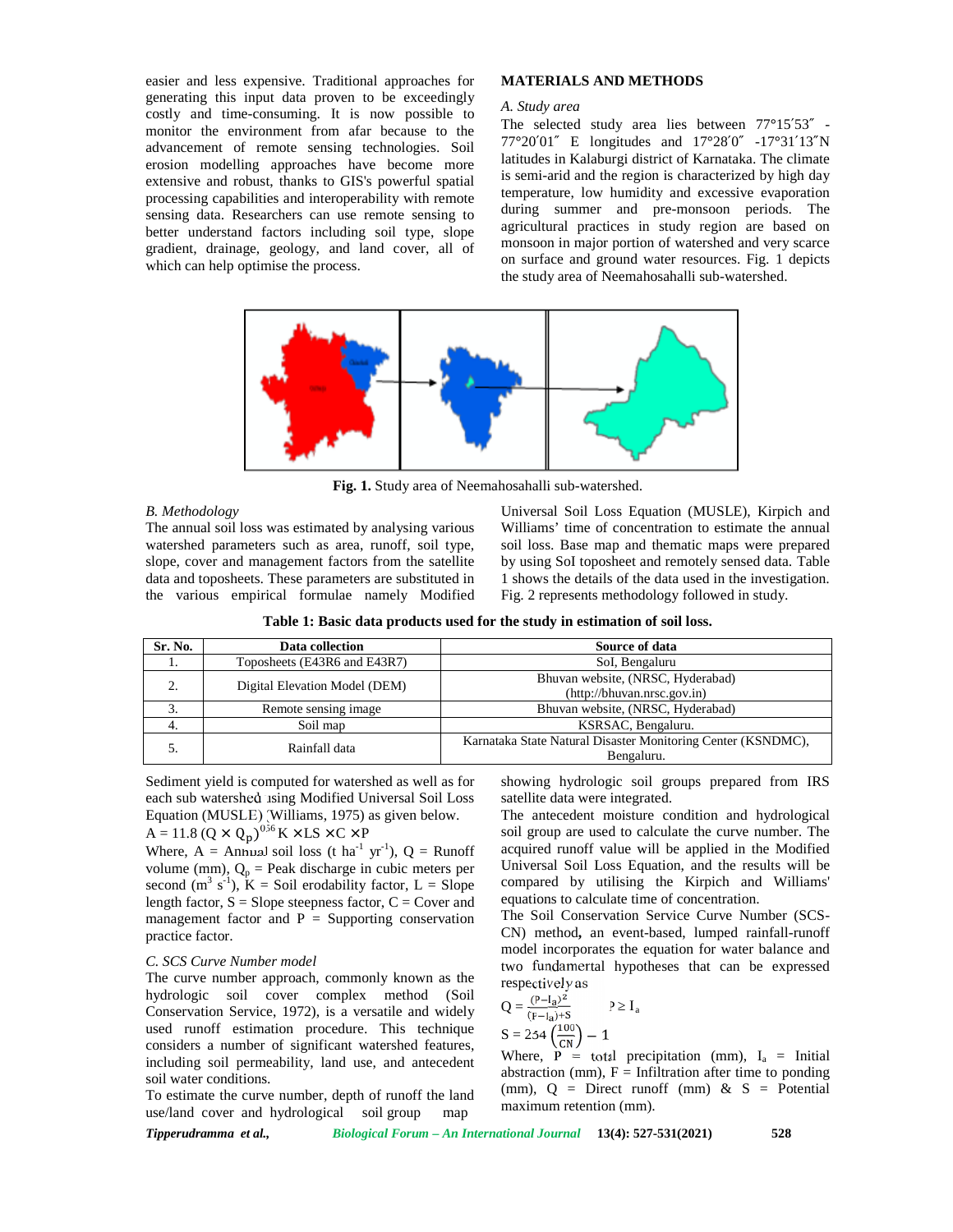easier and less expensive. Traditional approaches for generating this input data proven to be exceedingly costly and time-consuming. It is now possible to monitor the environment from afar because to the advancement of remote sensing technologies. Soil erosion modelling approaches have become more extensive and robust, thanks to GIS's powerful spatial processing capabilities and interoperability with remote sensing data. Researchers can use remote sensing to better understand factors including soil type, slope gradient, drainage, geology, and land cover, all of which can help optimise the process.

## **MATERIALS AND METHODS**

#### *A. Study area*

The selected study area lies between 77**°**15′53″ - 77**°**20′01″ E longitudes and 17**°**28′0″ -17**°**31′13″N latitudes in Kalaburgi district of Karnataka. The climate is semi-arid and the region is characterized by high day temperature, low humidity and excessive evaporation during summer and pre-monsoon periods. The agricultural practices in study region are based on monsoon in major portion of watershed and very scarce on surface and ground water resources. Fig. 1 depicts the study area of Neemahosahalli sub-watershed.



**Fig. 1.** Study area of Neemahosahalli sub-watershed.

## *B. Methodology*

The annual soil loss was estimated by analysing various watershed parameters such as area, runoff, soil type, slope, cover and management factors from the satellite data and toposheets. These parameters are substituted in the various empirical formulae namely Modified Universal Soil Loss Equation (MUSLE), Kirpich and Williams' time of concentration to estimate the annual soil loss. Base map and thematic maps were prepared by using SoI toposheet and remotely sensed data. Table 1 shows the details of the data used in the investigation. Fig. 2 represents methodology followed in study.

| Table 1: Basic data products used for the study in estimation of soil loss. |  |
|-----------------------------------------------------------------------------|--|
|-----------------------------------------------------------------------------|--|

| Sr. No.  | Data collection               | Source of data                                               |
|----------|-------------------------------|--------------------------------------------------------------|
| .,       | Toposheets (E43R6 and E43R7)  | SoI, Bengaluru                                               |
| $\gamma$ | Digital Elevation Model (DEM) | Bhuvan website, (NRSC, Hyderabad)                            |
|          |                               | (http://bhuvan.nrsc.gov.in)                                  |
| 3.       | Remote sensing image          | Bhuvan website, (NRSC, Hyderabad)                            |
| 4.       | Soil map                      | KSRSAC, Bengaluru.                                           |
|          | Rainfall data                 | Karnataka State Natural Disaster Monitoring Center (KSNDMC), |
|          |                               | Bengaluru.                                                   |

Sediment yield is computed for watershed as well as for each sub watershed using Modified Universal Soil Loss Equation (MUSLE) (Williams, 1975) as given below.  $A = 11.8$   $(Q \times Q_p)^{0.56}$  K  $\times$  LS  $\times$  C  $\times$  P

Where, A = Annual soil loss (t ha<sup>-1</sup> yr<sup>-1</sup>), Q = Runoff volume (mm),  $Q_p$  = Peak discharge in cubic meters per second  $(m^3 s^{-1})$ ,  $K =$  Soil erodability factor,  $L =$  Slope com length factor,  $S =$  Slope steepness factor,  $C =$  Cover and management factor and  $P =$  Supporting conservation practice factor.

#### *C. SCS Curve Number model*

The curve number approach, commonly known as the hydrologic soil cover complex method (Soil Conservation Service, 1972), is a versatile and widely used runoff estimation procedure. This technique considers a number of significant watershed features, including soil permeability, land use, and antecedent soil water conditions.

To estimate the curve number, depth of runoff the land use/land cover and hydrological soil group map

showing hydrologic soil groups prepared from IRS satellite data were integrated.

The antecedent moisture condition and hydrological soil group are used to calculate the curve number. The acquired runoff value will be applied in the Modified Universal Soil Loss Equation, and the results will be compared by utilising the Kirpich and Williams' equations to calculate time of concentration.

The Soil Conservation Service Curve Number (SCS- CN) method**,** an event-based, lumped rainfall-runoff model incorporates the equation for water balance and two fundamental hypotheses that can be expressed respectively as

$$
Q = \frac{(P - I_a)^2}{(P - I_a) + S}
$$
 P I<sub>a</sub>  
 
$$
S = 254 \left(\frac{100}{CN}\right) - 1
$$

Where,  $P = \text{total}\ \text{precipitation}\ \text{(mm)}$ ,  $I_a = \text{Initial}\ \text{}$ abstraction (mm),  $F =$ Infiltration after time to ponding (mm),  $Q =$  Direct runoff (mm) &  $S =$  Potential maximum retention (mm).

*Tipperudramma et al., Biological Forum – An International Journal* **13(4): 527-531(2021) 528**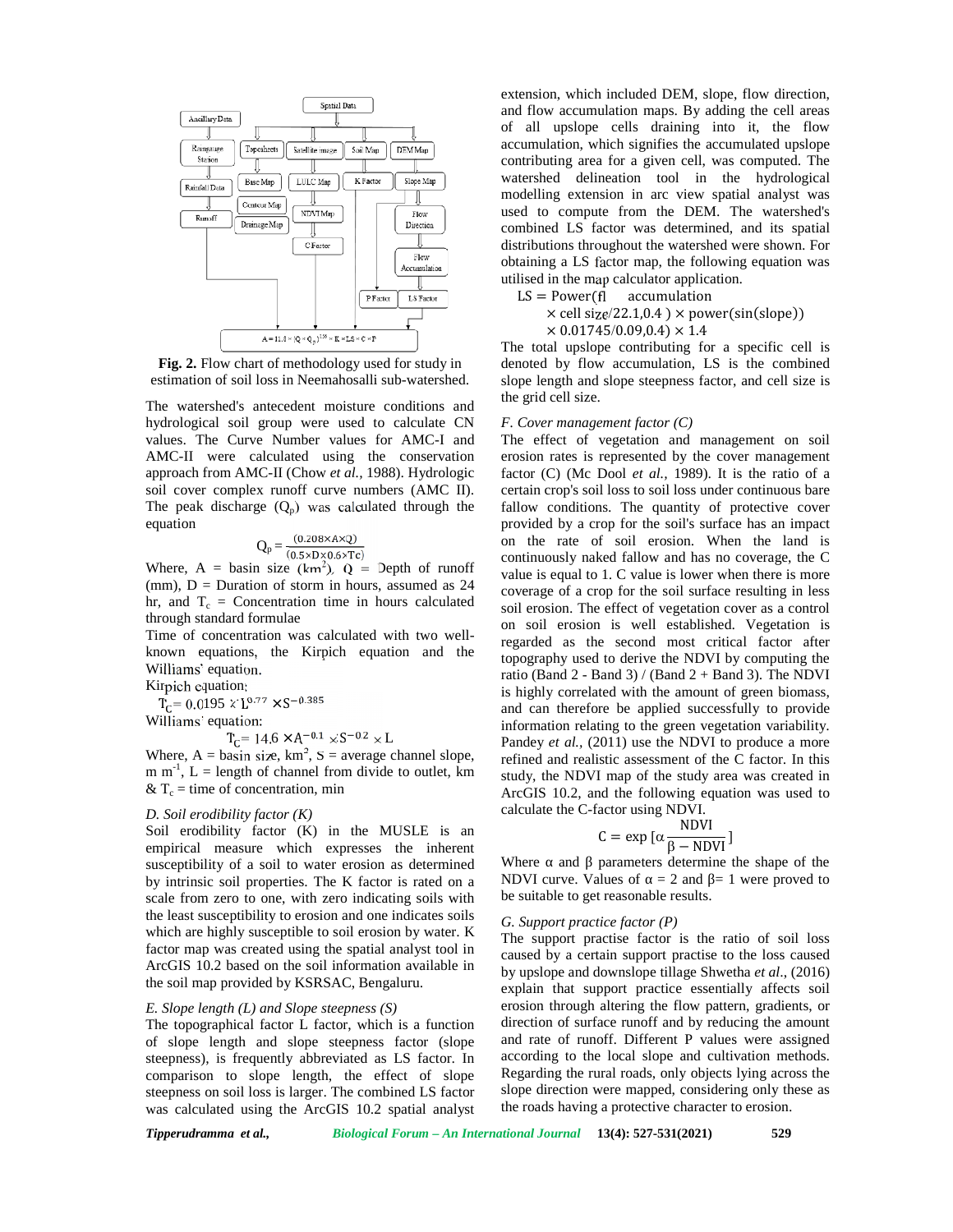

**Fig. 2.** Flow chart of methodology used for study in estimation of soil loss in Neemahosalli sub-watershed.

The watershed's antecedent moisture conditions and hydrological soil group were used to calculate CN values. The Curve Number values for AMC-I and AMC-II were calculated using the conservation approach from AMC-II (Chow *et al.,* 1988). Hydrologic soil cover complex runoff curve numbers (AMC II). The peak discharge  $(Q_p)$  was calculated through the equation

$$
Q_p = \frac{(0.208 \times A \times Q)}{(0.5 \times D \times 0.6 \times Tc)}
$$

Where, A = basin size (km<sup>2</sup>), Q = Depth of runoff  $\frac{c}{v}$  $(nm)$ ,  $D =$  Duration of storm in hours, assumed as 24 hr, and  $T_c$  = Concentration time in hours calculated through standard formulae

Time of concentration was calculated with two well known equations, the Kirpich equation and the Williams' equation.

Kirpich equation:  $T_{\rm C}$  = 0.0195  $\times$  L<sup>0.77</sup>  $\times$  S<sup>-0.385</sup> Williams' equation:

 $T_{\rm C}$  = 14.6  $\times$  A<sup>-0.1</sup>  $\times$  S<sup>-0.2</sup>  $\times$  L

Where,  $A = \text{basin size}$ , km<sup>2</sup>, S = average channel slope, m m<sup>-1</sup>, L = length of channel from divide to outlet, km study, the  $& \mathcal{X} T_c =$  time of concentration, min

## *D. Soil erodibility factor (K)*

Soil erodibility factor (K) in the MUSLE is an empirical measure which expresses the inherent<br>susceptibility of a soil to water erosion as determined. Where susceptibility of a soil to water erosion as determined by intrinsic soil properties. The K factor is rated on a scale from zero to one, with zero indicating soils with the least susceptibility to erosion and one indicates soils which are highly susceptible to soil erosion by water. K factor map was created using the spatial analyst tool in ArcGIS 10.2 based on the soil information available in the soil map provided by KSRSAC, Bengaluru.

## *E. Slope length (L) and Slope steepness (S)*

The topographical factor L factor, which is a function of slope length and slope steepness factor (slope steepness), is frequently abbreviated as LS factor. In comparison to slope length, the effect of slope steepness on soil loss is larger. The combined LS factor was calculated using the ArcGIS 10.2 spatial analyst

extension, which included DEM, slope, flow direction, and flow accumulation maps. By adding the cell areas of all upslope cells draining into it, the flow accumulation, which signifies the accumulated upslope contributing area for a given cell, was computed. The watershed delineation tool in the hydrological modelling extension in arc view spatial analyst was used to compute from the DEM. The watershed's combined LS factor was determined, and its spatial distributions throughout the watershed were shown. For obtaining a LS factor map, the following equation was utilised in the map calculator application.

 $LS = Power(fI$  accumulation

 $\times$  cell size/22.1,0.4 )  $\times$  power(sin(slope))

 $\times$  0.01745/0.09,0.4)  $\times$  1.4

The total upslope contributing for a specific cell is denoted by flow accumulation, LS is the combined slope length and slope steepness factor, and cell size is the grid cell size.

## *F. Cover management factor (C)*

The effect of vegetation and management on soil erosion rates is represented by the cover management factor (C) (Mc Dool *et al.,* 1989). It is the ratio of a certain crop's soil loss to soil loss under continuous bare fallow conditions. The quantity of protective cover provided by a crop for the soil's surface has an impact on the rate of soil erosion. When the land is continuously naked fallow and has no coverage, the C value is equal to 1. C value is lower when there is more coverage of a crop for the soil surface resulting in less soil erosion. The effect of vegetation cover as a control on soil erosion is well established. Vegetation is regarded as the second most critical factor after topography used to derive the NDVI by computing the ratio (Band  $2 - Band 3$ ) / (Band  $2 + Band 3$ ). The NDVI is highly correlated with the amount of green biomass, and can therefore be applied successfully to provide information relating to the green vegetation variability. Pandey *et al.,* (2011) use the NDVI to produce a more refined and realistic assessment of the C factor. In this study, the NDVI map of the study area was created in ArcGIS 10.2, and the following equation was used to calculate the C-factor using NDVI.

$$
C = \exp\left[\alpha \frac{NDVI}{\beta - NDVI}\right]
$$

Where and parameters determine the shape of the NDVI curve. Values of  $= 2$  and  $= 1$  were proved to be suitable to get reasonable results.

#### *G. Support practice factor (P)*

The support practise factor is the ratio of soil loss caused by a certain support practise to the loss caused by upslope and downslope tillage Shwetha *et al*., (2016) explain that support practice essentially affects soil erosion through altering the flow pattern, gradients, or direction of surface runoff and by reducing the amount and rate of runoff. Different P values were assigned according to the local slope and cultivation methods. Regarding the rural roads, only objects lying across the slope direction were mapped, considering only these as the roads having a protective character to erosion.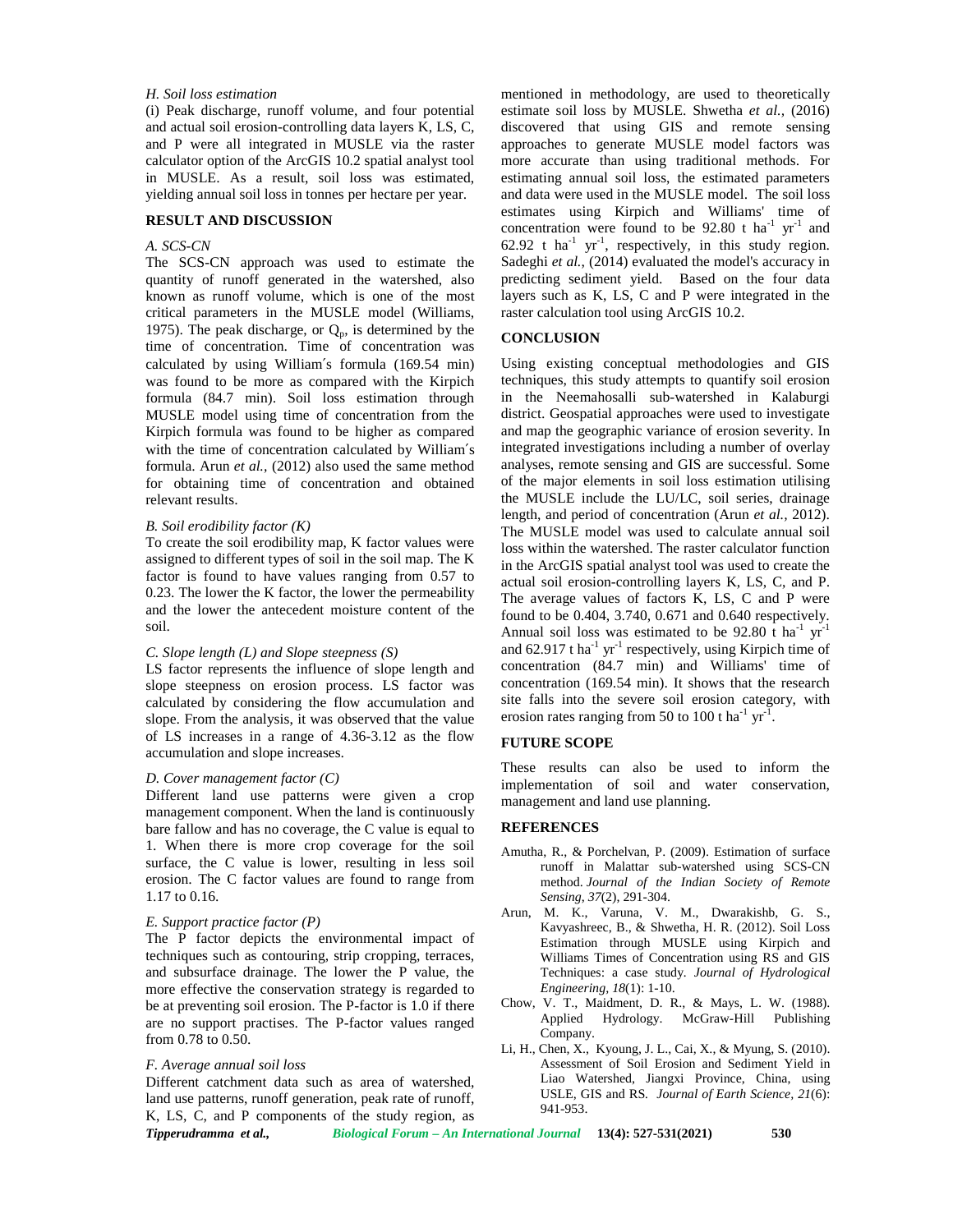## *H. Soil loss estimation*

(i) Peak discharge, runoff volume, and four potential and actual soil erosion-controlling data layers K, LS, C, and P were all integrated in MUSLE via the raster calculator option of the ArcGIS 10.2 spatial analyst tool in MUSLE. As a result, soil loss was estimated, yielding annual soil loss in tonnes per hectare per year.

#### **RESULT AND DISCUSSION**

### *A. SCS-CN*

The SCS-CN approach was used to estimate the quantity of runoff generated in the watershed, also known as runoff volume, which is one of the most critical parameters in the MUSLE model (Williams, 1975). The peak discharge, or  $Q_p$ , is determined by the time of concentration. Time of concentration was calculated by using William′s formula (169.54 min) was found to be more as compared with the Kirpich formula (84.7 min). Soil loss estimation through MUSLE model using time of concentration from the Kirpich formula was found to be higher as compared with the time of concentration calculated by William′s formula. Arun *et al.,* (2012) also used the same method for obtaining time of concentration and obtained relevant results.

#### *B. Soil erodibility factor (K)*

To create the soil erodibility map, K factor values were assigned to different types of soil in the soil map. The K factor is found to have values ranging from 0.57 to 0.23. The lower the K factor, the lower the permeability and the lower the antecedent moisture content of the soil.

#### *C. Slope length (L) and Slope steepness (S)*

LS factor represents the influence of slope length and slope steepness on erosion process. LS factor was calculated by considering the flow accumulation and slope. From the analysis, it was observed that the value of LS increases in a range of 4.36-3.12 as the flow accumulation and slope increases.

### *D. Cover management factor (C)*

Different land use patterns were given a crop management component. When the land is continuously bare fallow and has no coverage, the C value is equal to 1. When there is more crop coverage for the soil surface, the C value is lower, resulting in less soil erosion. The C factor values are found to range from 1.17 to 0.16.

## *E. Support practice factor (P)*

The P factor depicts the environmental impact of techniques such as contouring, strip cropping, terraces, and subsurface drainage. The lower the P value, the more effective the conservation strategy is regarded to be at preventing soil erosion. The P-factor is 1.0 if there are no support practises. The P-factor values ranged from 0.78 to 0.50.

## *F. Average annual soil loss*

*Tipperudramma et al., Biological Forum – An International Journal* **13(4): 527-531(2021) 530** Different catchment data such as area of watershed, land use patterns, runoff generation, peak rate of runoff, K, LS, C, and P components of the study region, as

mentioned in methodology, are used to theoretically estimate soil loss by MUSLE. Shwetha *et al.,* (2016) discovered that using GIS and remote sensing approaches to generate MUSLE model factors was more accurate than using traditional methods. For estimating annual soil loss, the estimated parameters and data were used in the MUSLE model. The soil loss estimates using Kirpich and Williams' time of concentration were found to be  $92.80$  t ha<sup>-1</sup> yr<sup>-1</sup> and  $62.92$  t ha<sup>-1</sup> yr<sup>-1</sup>, respectively, in this study region. Sadeghi *et al.*, (2014) evaluated the model's accuracy in predicting sediment yield. Based on the four data layers such as K, LS, C and P were integrated in the raster calculation tool using ArcGIS 10.2.

## **CONCLUSION**

Using existing conceptual methodologies and GIS techniques, this study attempts to quantify soil erosion in the Neemahosalli sub-watershed in Kalaburgi district. Geospatial approaches were used to investigate and map the geographic variance of erosion severity. In integrated investigations including a number of overlay analyses, remote sensing and GIS are successful. Some of the major elements in soil loss estimation utilising the MUSLE include the LU/LC, soil series, drainage length, and period of concentration (Arun *et al.,* 2012). The MUSLE model was used to calculate annual soil loss within the watershed. The raster calculator function in the ArcGIS spatial analyst tool was used to create the actual soil erosion-controlling layers K, LS, C, and P. The average values of factors K, LS, C and P were found to be 0.404, 3.740, 0.671 and 0.640 respectively. Annual soil loss was estimated to be 92.80 t ha<sup>-1</sup>  $yr^{-1}$ and 62.917 t ha<sup>-1</sup> yr<sup>-1</sup> respectively, using Kirpich time of concentration (84.7 min) and Williams' time of concentration (169.54 min). It shows that the research site falls into the severe soil erosion category, with erosion rates ranging from 50 to 100 t ha<sup>-1</sup> yr<sup>-1</sup>.

## **FUTURE SCOPE**

These results can also be used to inform the implementation of soil and water conservation, management and land use planning.

## **REFERENCES**

- Amutha, R., & Porchelvan, P. (2009). Estimation of surface runoff in Malattar sub-watershed using SCS-CN method. *Journal of the Indian Society of Remote Sensing*, *37*(2), 291-304.
- Arun, M. K., Varuna, V. M., Dwarakishb, G. S., Kavyashreec, B., & Shwetha, H. R. (2012). Soil Loss Estimation through MUSLE using Kirpich and Williams Times of Concentration using RS and GIS Techniques: a case study*. Journal of Hydrological Engineering, 18*(1): 1-10.
- Chow, V. T., Maidment, D. R., & Mays, L. W. (1988). Applied Hydrology. McGraw-Hill Publishing Company.
- Li, H., Chen, X., Kyoung, J. L., Cai, X., & Myung, S. (2010). Assessment of Soil Erosion and Sediment Yield in Liao Watershed, Jiangxi Province, China, using USLE, GIS and RS*. Journal of Earth Science, 21*(6): 941-953.